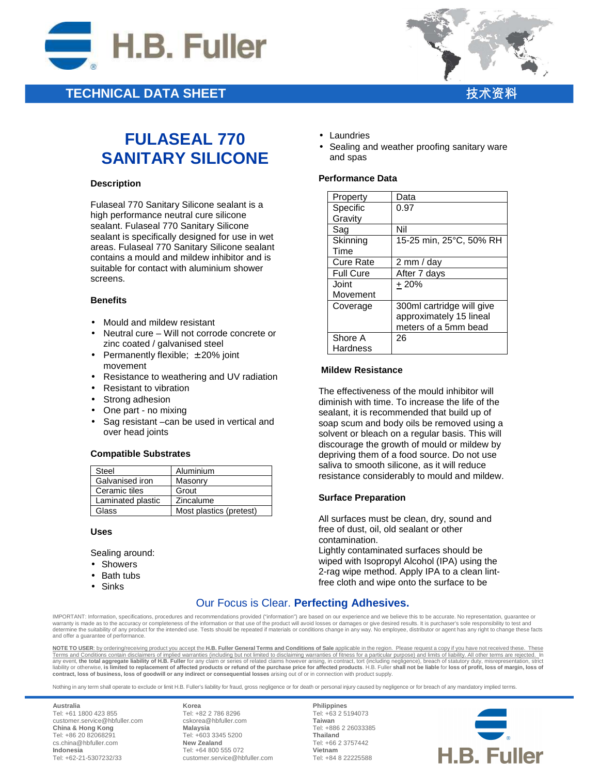

## **TECHNICAL DATA SHEET**



# **FULASEAL 770 SANITARY SILICONE**

#### **Description**

Fulaseal 770 Sanitary Silicone sealant is a high performance neutral cure silicone sealant. Fulaseal 770 Sanitary Silicone sealant is specifically designed for use in wet areas. Fulaseal 770 Sanitary Silicone sealant contains a mould and mildew inhibitor and is suitable for contact with aluminium shower screens.

#### **Benefits**

- Mould and mildew resistant
- Neutral cure Will not corrode concrete or zinc coated / galvanised steel
- Permanently flexible;  $\pm 20\%$  joint movement
- Resistance to weathering and UV radiation
- Resistant to vibration
- Strong adhesion
- One part no mixing
- Sag resistant –can be used in vertical and over head joints

#### **Compatible Substrates**

| Steel             | Aluminium               |
|-------------------|-------------------------|
| Galvanised iron   | Masonry                 |
| Ceramic tiles     | Grout                   |
| Laminated plastic | Zincalume               |
| Glass             | Most plastics (pretest) |

**Uses** 

Sealing around:

- Showers
- Bath tubs
- Sinks
- Laundries
- Sealing and weather proofing sanitary ware and spas

#### **Performance Data**

| Property         | Data                      |
|------------------|---------------------------|
| Specific         | 0.97                      |
| Gravity          |                           |
| Sag              | Nil                       |
| Skinning         | 15-25 min, 25°C, 50% RH   |
| Time             |                           |
| <b>Cure Rate</b> | 2 mm / day                |
| <b>Full Cure</b> | After 7 days              |
| Joint            | $+20%$                    |
| Movement         |                           |
| Coverage         | 300ml cartridge will give |
|                  | approximately 15 lineal   |
|                  | meters of a 5mm bead      |
| Shore A          | 26                        |
| Hardness         |                           |

#### **Mildew Resistance**

The effectiveness of the mould inhibitor will diminish with time. To increase the life of the sealant, it is recommended that build up of soap scum and body oils be removed using a solvent or bleach on a regular basis. This will discourage the growth of mould or mildew by depriving them of a food source. Do not use saliva to smooth silicone, as it will reduce resistance considerably to mould and mildew.

### **Surface Preparation**

All surfaces must be clean, dry, sound and free of dust, oil, old sealant or other contamination.

Lightly contaminated surfaces should be wiped with Isopropyl Alcohol (IPA) using the 2-rag wipe method. Apply IPA to a clean lintfree cloth and wipe onto the surface to be

## Our Focus is Clear. **Perfecting Adhesives.**

IMPORTANT: Information, specifications, procedures and recommendations provided ("information") are based on our experience and we believe this to be accurate. No representation, guarantee or warranty is made as to the accuracy or completeness of the information or that use of the product will avoid losses or damages or give desired results. It is purchaser's sole responsibility to test and warranty is made as determine the suitability of any product for the intended use. Tests should be repeated if materials or conditions change in any way. No employee, distributor or agent has any right to change these facts and offer a guarantee of performance.

**NOTE TO USER**: by ordering/receiving product you accept the **H.B. Fuller General Terms and Conditions of Sale** applicable in the region. Please request a copy if you have not received these. These Terms and Conditions contain disclaimers of implied warranties (including but not limited to disclaiming warranties of fitness for a particular purpose) and limits of liability. All other terms are rejected. In<br>any event, **contract, loss of business, loss of goodwill or any indirect or consequential losses** arising out of or in connection with product supply.

Nothing in any term shall operate to exclude or limit H.B. Fuller's liability for fraud, gross negligence or for death or personal injury caused by negligence or for breach of any mandatory implied terms.

**Australia** Tel: +61 1800 423 855 customer.service@hbfuller.com **China & Hong Kong**  Tel: +86 20 82068291 cs.china@hbfuller.com **Indonesia**  Tel: +62-21-5307232/33

**Korea** Tel: +82 2 786 8296 cskorea@hbfuller.com **Malaysia**  Tel: +603 3345 5200 **New Zealand** Tel: +64 800 555 072 customer.service@hbfuller.com

**Philippines** Tel: +63 2 5194073 **Taiwan**  Tel: +886 2 26033385 **Thailand**  Tel: +66 2 3757442 **Vietnam**  Tel: +84 8 22225588

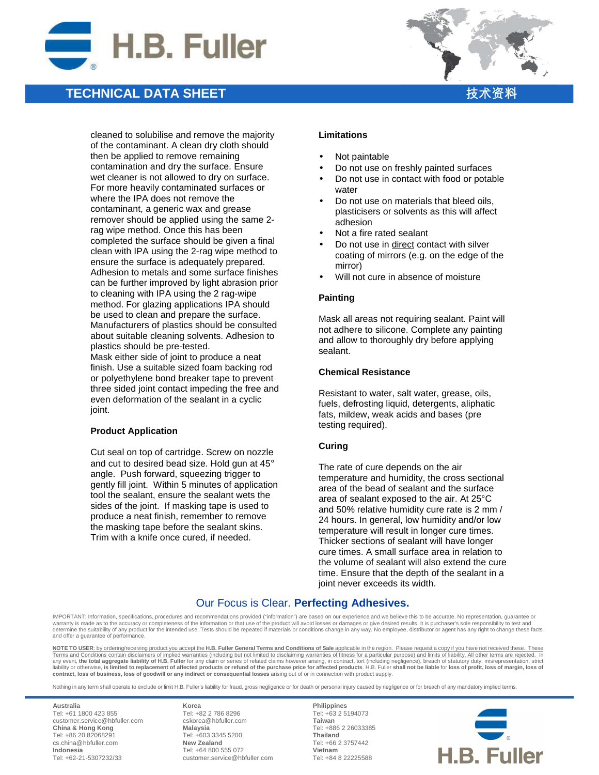

## **TECHNICAL DATA SHEET**



cleaned to solubilise and remove the majority of the contaminant. A clean dry cloth should then be applied to remove remaining contamination and dry the surface. Ensure wet cleaner is not allowed to dry on surface. For more heavily contaminated surfaces or where the IPA does not remove the contaminant, a generic wax and grease remover should be applied using the same 2 rag wipe method. Once this has been completed the surface should be given a final clean with IPA using the 2-rag wipe method to ensure the surface is adequately prepared. Adhesion to metals and some surface finishes can be further improved by light abrasion prior to cleaning with IPA using the 2 rag-wipe method. For glazing applications IPA should be used to clean and prepare the surface. Manufacturers of plastics should be consulted about suitable cleaning solvents. Adhesion to plastics should be pre-tested. Mask either side of joint to produce a neat finish. Use a suitable sized foam backing rod or polyethylene bond breaker tape to prevent three sided joint contact impeding the free and even deformation of the sealant in a cyclic joint.

#### **Product Application**

Cut seal on top of cartridge. Screw on nozzle and cut to desired bead size. Hold gun at 45° angle. Push forward, squeezing trigger to gently fill joint. Within 5 minutes of application tool the sealant, ensure the sealant wets the sides of the joint. If masking tape is used to produce a neat finish, remember to remove the masking tape before the sealant skins. Trim with a knife once cured, if needed.

#### **Limitations**

- Not paintable
- Do not use on freshly painted surfaces
- Do not use in contact with food or potable water
- Do not use on materials that bleed oils, plasticisers or solvents as this will affect adhesion
- Not a fire rated sealant
- Do not use in direct contact with silver coating of mirrors (e.g. on the edge of the mirror)
- Will not cure in absence of moisture

#### **Painting**

Mask all areas not requiring sealant. Paint will not adhere to silicone. Complete any painting and allow to thoroughly dry before applying sealant.

#### **Chemical Resistance**

Resistant to water, salt water, grease, oils, fuels, defrosting liquid, detergents, aliphatic fats, mildew, weak acids and bases (pre testing required).

### **Curing**

The rate of cure depends on the air temperature and humidity, the cross sectional area of the bead of sealant and the surface area of sealant exposed to the air. At 25°C and 50% relative humidity cure rate is 2 mm / 24 hours. In general, low humidity and/or low temperature will result in longer cure times. Thicker sections of sealant will have longer cure times. A small surface area in relation to the volume of sealant will also extend the cure time. Ensure that the depth of the sealant in a joint never exceeds its width.

## Our Focus is Clear. **Perfecting Adhesives.**

IMPORTANT: Information, specifications, procedures and recommendations provided ("information") are based on our experience and we believe this to be accurate. No representation, guarantee or warranty is made as to the accuracy or completeness of the information or that use of the product will avoid losses or damages or give desired results. It is purchaser's sole responsibility to test and warranty is made as determine the suitability of any product for the intended use. Tests should be repeated if materials or conditions change in any way. No employee, distributor or agent has any right to change these facts and offer a guarantee of performance.

**NOTE TO USER**: by ordering/receiving product you accept the **H.B. Fuller General Terms and Conditions of Sale** applicable in the region. Please request a copy if you have not received these. These Terms and Conditions contain disclaimers of implied warranties (including but not limited to disclaiming warranties of fitness for a particular purpose) and limits of liability. All other terms are rejected. In<br>any event, **contract, loss of business, loss of goodwill or any indirect or consequential losses** arising out of or in connection with product supply.

Nothing in any term shall operate to exclude or limit H.B. Fuller's liability for fraud, gross negligence or for death or personal injury caused by negligence or for breach of any mandatory implied terms.

**Australia** Tel: +61 1800 423 855 customer.service@hbfuller.com **China & Hong Kong**  Tel: +86 20 82068291 cs.china@hbfuller.com **Indonesia**  Tel: +62-21-5307232/33

**Korea** Tel: +82 2 786 8296 cskorea@hbfuller.com **Malaysia**  Tel: +603 3345 5200 **New Zealand** Tel: +64 800 555 072 customer.service@hbfuller.com

**Philippines** Tel: +63 2 5194073 **Taiwan**  Tel: +886 2 26033385 **Thailand**  Tel: +66 2 3757442 **Vietnam**  Tel: +84 8 22225588